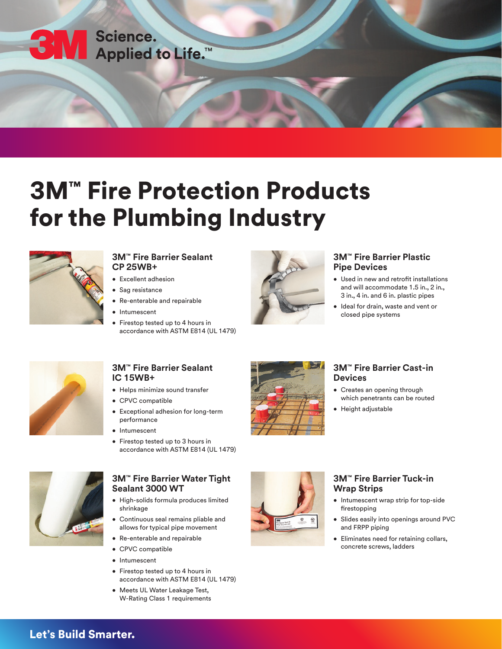

# 3M™ Fire Protection Products for the Plumbing Industry



#### **3M™ Fire Barrier Sealant CP 25WB+**

- Excellent adhesion
- Sag resistance
- Re-enterable and repairable
- **Intumescent**
- Firestop tested up to 4 hours in accordance with ASTM E814 (UL 1479)



## **3M™ Fire Barrier Plastic Pipe Devices**

- Used in new and retrofit installations and will accommodate 1.5 in., 2 in., 3 in., 4 in. and 6 in. plastic pipes
- Ideal for drain, waste and vent or closed pipe systems



## **3M™ Fire Barrier Sealant IC 15WB+**

- Helps minimize sound transfer
- CPVC compatible
- Exceptional adhesion for long-term performance
- Intumescent
- Firestop tested up to 3 hours in accordance with ASTM E814 (UL 1479)



### **3M™ Fire Barrier Cast-in Devices**

- Creates an opening through which penetrants can be routed
- Height adjustable



## **3M™ Fire Barrier Water Tight Sealant 3000 WT**

- High-solids formula produces limited shrinkage
- Continuous seal remains pliable and allows for typical pipe movement
- Re-enterable and repairable
- CPVC compatible
- Intumescent
- Firestop tested up to 4 hours in accordance with ASTM E814 (UL 1479)
- Meets UL Water Leakage Test, W-Rating Class 1 requirements



## **3M™ Fire Barrier Tuck-in Wrap Strips**

- Intumescent wrap strip for top-side firestopping
- Slides easily into openings around PVC and FRPP piping
- Eliminates need for retaining collars, concrete screws, ladders

## Let's Build Smarter.